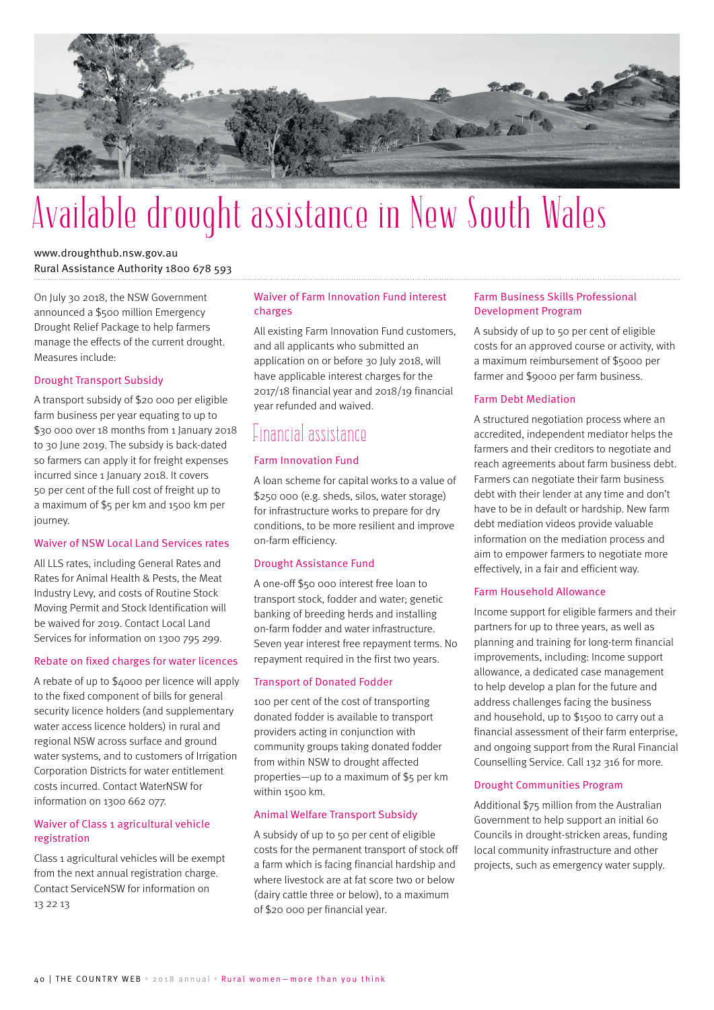

# Available drought assistance in New South Wales

# www.droughthub.nsw.gov.au Rural Assistance Authority 1800 678 593

On July 30 2018, the NSW Government announced a \$500 million Emergency Drought Relief Package to help farmers manage the effects of the current drought. Measures include:

#### Drought Transport Subsidy

A transport subsidy of \$20 000 per eligible farm business per year equating to up to \$30 000 over 18 months from 1 January 2018 to 30 June 2019. The subsidy is back-dated so farmers can apply it for freight expenses incurred since 1 January 2018. It covers 50 per cent of the full cost of freight up to a maximum of \$5 per km and 1500 km per journey.

#### Waiver of NSW Local Land Services rates

All LLS rates, including General Rates and Rates for Animal Health & Pests, the Meat Industry Levy, and costs of Routine Stock Moving Permit and Stock Identification will be waived for 2019. Contact Local Land Services for information on 1300 795 299.

#### Rebate on fixed charges for water licences

A rebate of up to \$4000 per licence will apply to the fixed component of bills for general security licence holders (and supplementary water access licence holders) in rural and regional NSW across surface and ground water systems, and to customers of Irrigation Corporation Districts for water entitlement costs incurred. Contact WaterNSW for information on 1300 662 077.

#### Waiver of Class 1 agricultural vehicle registration

Class 1 agricultural vehicles will be exempt from the next annual registration charge. Contact ServiceNSW for information on 13 22 13

#### Waiver of Farm Innovation Fund interest charges

All existing Farm Innovation Fund customers, and all applicants who submitted an application on or before 30 July 2018, will have applicable interest charges for the 2017/18 financial year and 2018/19 financial year refunded and waived.

# **Financial assistance**

#### Farm Innovation Fund

A loan scheme for capital works to a value of \$250 000 (e.g. sheds, silos, water storage) for infrastructure works to prepare for dry conditions, to be more resilient and improve on-farm efficiency.

#### Drought Assistance Fund

A one-off \$50 000 interest free loan to transport stock, fodder and water; genetic banking of breeding herds and installing on-farm fodder and water infrastructure. Seven year interest free repayment terms. No repayment required in the first two years.

#### Transport of Donated Fodder

100 per cent of the cost of transporting donated fodder is available to transport providers acting in conjunction with community groups taking donated fodder from within NSW to drought affected properties—up to a maximum of \$5 per km within 1500 km.

#### Animal Welfare Transport Subsidy

A subsidy of up to 50 per cent of eligible costs for the permanent transport of stock off a farm which is facing financial hardship and where livestock are at fat score two or below (dairy cattle three or below), to a maximum of \$20 000 per financial year.

#### Farm Business Skills Professional Development Program

A subsidy of up to 50 per cent of eligible costs for an approved course or activity, with a maximum reimbursement of \$5000 per farmer and \$9000 per farm business.

#### Farm Debt Mediation

A structured negotiation process where an accredited, independent mediator helps the farmers and their creditors to negotiate and reach agreements about farm business debt. Farmers can negotiate their farm business debt with their lender at any time and don't have to be in default or hardship. New farm debt mediation videos provide valuable information on the mediation process and aim to empower farmers to negotiate more effectively, in a fair and efficient way.

#### Farm Household Allowance

Income support for eligible farmers and their partners for up to three years, as well as planning and training for long-term financial improvements, including: Income support allowance, a dedicated case management to help develop a plan for the future and address challenges facing the business and household, up to \$1500 to carry out a financial assessment of their farm enterprise, and ongoing support from the Rural Financial Counselling Service. Call 132 316 for more.

#### Drought Communities Program

Additional \$75 million from the Australian Government to help support an initial 60 Councils in drought-stricken areas, funding local community infrastructure and other projects, such as emergency water supply.